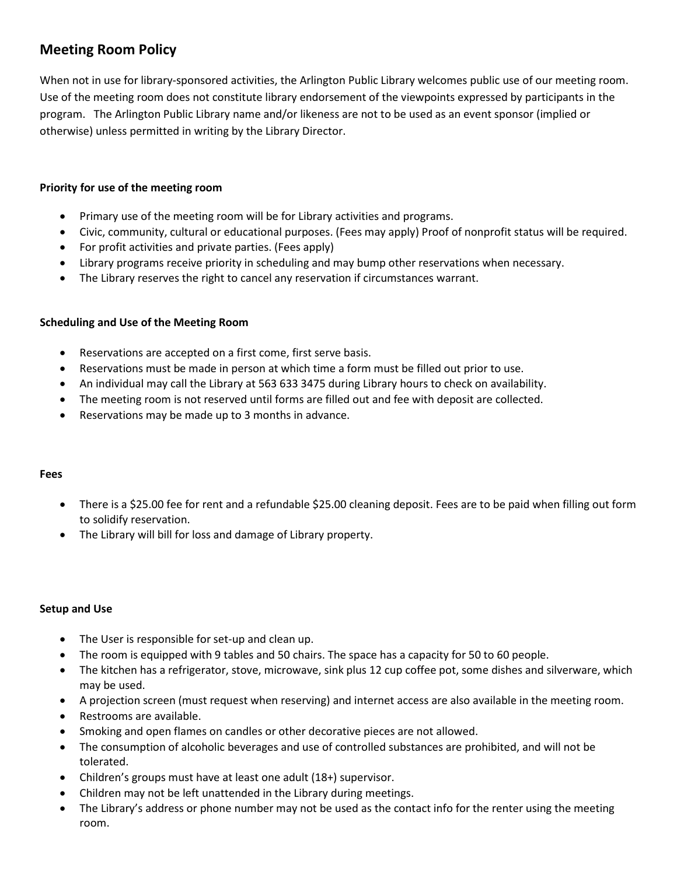# **Meeting Room Policy**

When not in use for library-sponsored activities, the Arlington Public Library welcomes public use of our meeting room. Use of the meeting room does not constitute library endorsement of the viewpoints expressed by participants in the program. The Arlington Public Library name and/or likeness are not to be used as an event sponsor (implied or otherwise) unless permitted in writing by the Library Director.

## **Priority for use of the meeting room**

- Primary use of the meeting room will be for Library activities and programs.
- Civic, community, cultural or educational purposes. (Fees may apply) Proof of nonprofit status will be required.
- For profit activities and private parties. (Fees apply)
- Library programs receive priority in scheduling and may bump other reservations when necessary.
- The Library reserves the right to cancel any reservation if circumstances warrant.

### **Scheduling and Use of the Meeting Room**

- Reservations are accepted on a first come, first serve basis.
- Reservations must be made in person at which time a form must be filled out prior to use.
- An individual may call the Library at 563 633 3475 during Library hours to check on availability.
- The meeting room is not reserved until forms are filled out and fee with deposit are collected.
- Reservations may be made up to 3 months in advance.

### **Fees**

- There is a \$25.00 fee for rent and a refundable \$25.00 cleaning deposit. Fees are to be paid when filling out form to solidify reservation.
- The Library will bill for loss and damage of Library property.

### **Setup and Use**

- The User is responsible for set-up and clean up.
- The room is equipped with 9 tables and 50 chairs. The space has a capacity for 50 to 60 people.
- The kitchen has a refrigerator, stove, microwave, sink plus 12 cup coffee pot, some dishes and silverware, which may be used.
- A projection screen (must request when reserving) and internet access are also available in the meeting room.
- Restrooms are available.
- Smoking and open flames on candles or other decorative pieces are not allowed.
- The consumption of alcoholic beverages and use of controlled substances are prohibited, and will not be tolerated.
- Children's groups must have at least one adult (18+) supervisor.
- Children may not be left unattended in the Library during meetings.
- The Library's address or phone number may not be used as the contact info for the renter using the meeting room.